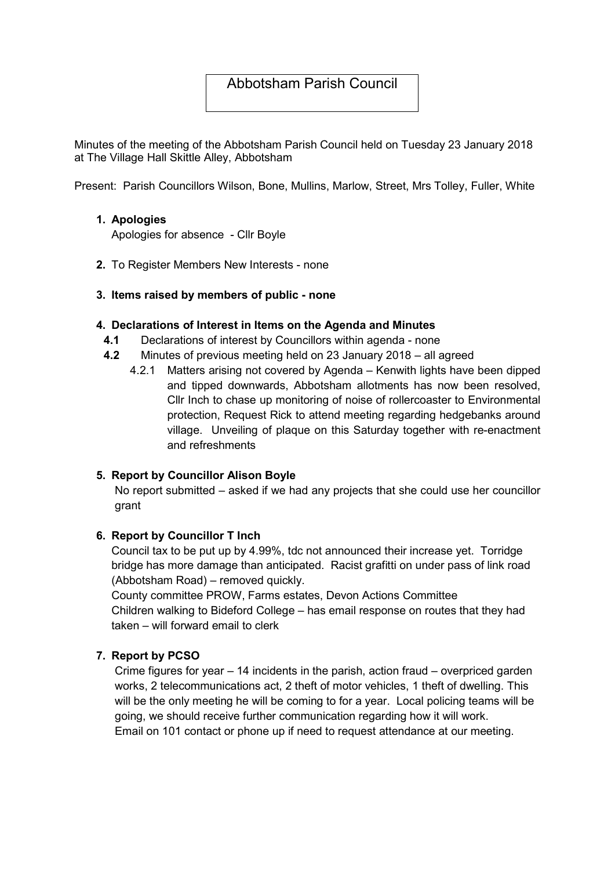# Abbotsham Parish Council

Minutes of the meeting of the Abbotsham Parish Council held on Tuesday 23 January 2018 at The Village Hall Skittle Alley, Abbotsham

Present: Parish Councillors Wilson, Bone, Mullins, Marlow, Street, Mrs Tolley, Fuller, White

### 1. Apologies

Apologies for absence - Cllr Boyle

2. To Register Members New Interests - none

### 3. Items raised by members of public - none

#### 4. Declarations of Interest in Items on the Agenda and Minutes

- 4.1 Declarations of interest by Councillors within agenda none
- 4.2 Minutes of previous meeting held on 23 January 2018 all agreed
	- 4.2.1 Matters arising not covered by Agenda Kenwith lights have been dipped and tipped downwards, Abbotsham allotments has now been resolved, Cllr Inch to chase up monitoring of noise of rollercoaster to Environmental protection, Request Rick to attend meeting regarding hedgebanks around village. Unveiling of plaque on this Saturday together with re-enactment and refreshments

### 5. Report by Councillor Alison Boyle

No report submitted – asked if we had any projects that she could use her councillor grant

### 6. Report by Councillor T Inch

Council tax to be put up by 4.99%, tdc not announced their increase yet. Torridge bridge has more damage than anticipated. Racist grafitti on under pass of link road (Abbotsham Road) – removed quickly.

County committee PROW, Farms estates, Devon Actions Committee Children walking to Bideford College – has email response on routes that they had taken – will forward email to clerk

### 7. Report by PCSO

Crime figures for year – 14 incidents in the parish, action fraud – overpriced garden works, 2 telecommunications act, 2 theft of motor vehicles, 1 theft of dwelling. This will be the only meeting he will be coming to for a year. Local policing teams will be going, we should receive further communication regarding how it will work. Email on 101 contact or phone up if need to request attendance at our meeting.